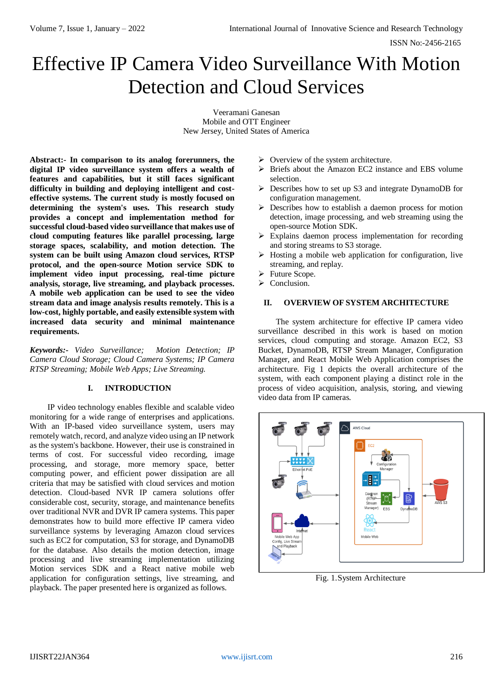# Effective IP Camera Video Surveillance With Motion Detection and Cloud Services

Veeramani Ganesan Mobile and OTT Engineer New Jersey, United States of America

**Abstract:- In comparison to its analog forerunners, the digital IP video surveillance system offers a wealth of features and capabilities, but it still faces significant difficulty in building and deploying intelligent and costeffective systems. The current study is mostly focused on determining the system's uses. This research study provides a concept and implementation method for successful cloud-based video surveillance that makes use of cloud computing features like parallel processing, large storage spaces, scalability, and motion detection. The system can be built using Amazon cloud services, RTSP protocol, and the open-source Motion service SDK to implement video input processing, real-time picture analysis, storage, live streaming, and playback processes. A mobile web application can be used to see the video stream data and image analysis results remotely. This is a low-cost, highly portable, and easily extensible system with increased data security and minimal maintenance requirements.**

*Keywords:- Video Surveillance; Motion Detection; IP Camera Cloud Storage; Cloud Camera Systems; IP Camera RTSP Streaming; Mobile Web Apps; Live Streaming.*

# **I. INTRODUCTION**

IP video technology enables flexible and scalable video monitoring for a wide range of enterprises and applications. With an IP-based video surveillance system, users may remotely watch, record, and analyze video using an IP network as the system's backbone. However, their use is constrained in terms of cost. For successful video recording, image processing, and storage, more memory space, better computing power, and efficient power dissipation are all criteria that may be satisfied with cloud services and motion detection. Cloud-based NVR IP camera solutions offer considerable cost, security, storage, and maintenance benefits over traditional NVR and DVR IP camera systems. This paper demonstrates how to build more effective IP camera video surveillance systems by leveraging Amazon cloud services such as EC2 for computation, S3 for storage, and DynamoDB for the database. Also details the motion detection, image processing and live streaming implementation utilizing Motion services SDK and a React native mobile web application for configuration settings, live streaming, and playback. The paper presented here is organized as follows.

- $\triangleright$  Overview of the system architecture.
- $\triangleright$  Briefs about the Amazon EC2 instance and EBS volume selection.
- $\triangleright$  Describes how to set up S3 and integrate DynamoDB for configuration management.
- Describes how to establish a daemon process for motion detection, image processing, and web streaming using the open-source Motion SDK.
- Explains daemon process implementation for recording and storing streams to S3 storage.
- $\triangleright$  Hosting a mobile web application for configuration, live streaming, and replay.
- > Future Scope.
- $\triangleright$  Conclusion.

# **II. OVERVIEW OF SYSTEM ARCHITECTURE**

The system architecture for effective IP camera video surveillance described in this work is based on motion services, cloud computing and storage. Amazon EC2, S3 Bucket, DynamoDB, RTSP Stream Manager, Configuration Manager, and React Mobile Web Application comprises the architecture. Fig 1 depicts the overall architecture of the system, with each component playing a distinct role in the process of video acquisition, analysis, storing, and viewing video data from IP cameras.



Fig. 1.System Architecture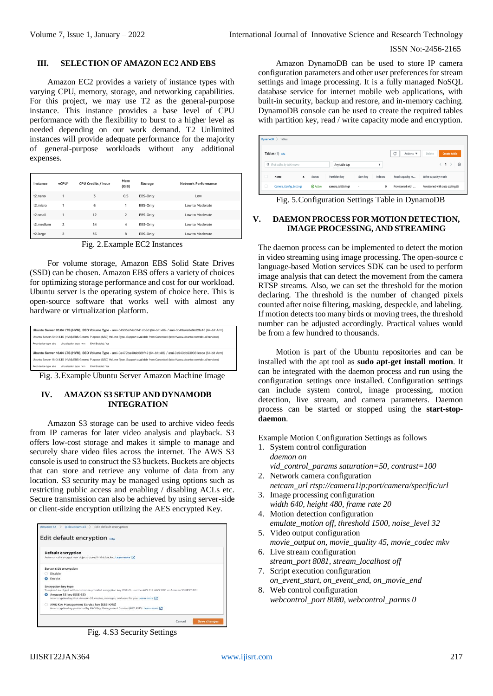#### ISSN No:-2456-2165

#### **III. SELECTION OF AMAZON EC2 AND EBS**

Amazon EC2 provides a variety of instance types with varying CPU, memory, storage, and networking capabilities. For this project, we may use T2 as the general-purpose instance. This instance provides a base level of CPU performance with the flexibility to burst to a higher level as needed depending on our work demand. T2 Unlimited instances will provide adequate performance for the majority of general-purpose workloads without any additional expenses.

| Instance  | vCPU*          | <b>CPU Credits / hour</b> | Mem<br>(GiB)   | Storage  | <b>Network Performance</b> |
|-----------|----------------|---------------------------|----------------|----------|----------------------------|
| t2.nano   | 1              | 3                         | 0.5            | EBS-Only | Low                        |
| t2.micro  | 1              | 6                         | 1              | EBS-Only | Low to Moderate            |
| t2.small  |                | 12                        | $\overline{2}$ | EBS-Only | Low to Moderate            |
| t2.medium | $\overline{2}$ | 24                        | 4              | EBS-Only | Low to Moderate            |
| t2.large  | $\overline{2}$ | 36                        | 8              | EBS-Only | Low to Moderate            |

Fig. 2.Example EC2 Instances

For volume storage, Amazon EBS Solid State Drives (SSD) can be chosen. Amazon EBS offers a variety of choices for optimizing storage performance and cost for our workload. Ubuntu server is the operating system of choice here. This is open-source software that works well with almost any hardware or virtualization platform.

| Ubuntu Server 20.04 LTS (HVM), SSD Volume Type - ami-04505e74c0741db8d (64-bit x86) / ami-0b49a4a6e8e22fa16 (64-bit Arm)                      |
|-----------------------------------------------------------------------------------------------------------------------------------------------|
| Ubuntu Server 20.04 LTS (HVM),EBS General Purpose (SSD) Volume Type, Support available from Canonical (http://www.ubuntu.com/cloud/services), |
| Root device type: ebs<br>Virtualization type: hym<br><b>ENA Enabled: Yes</b>                                                                  |
| Ubuntu Server 18.04 LTS (HVM), SSD Volume Type - ami-0e472ba40eb589f49 (64-bit x86) / ami-0a940cb939351ccca (64-bit Arm)                      |
| Ubuntu Server 18.04 LTS (HVM),EBS General Purpose (SSD) Volume Type, Support available from Canonical (http://www.ubuntu.com/cloud/services), |
| Root device type: ebs<br><b>ENA Enabled: Yes</b><br>Virtualization type: hvm                                                                  |

Fig. 3.Example Ubuntu Server Amazon Machine Image

## **IV. AMAZON S3 SETUP AND DYNAMODB INTEGRATION**

Amazon S3 storage can be used to archive video feeds from IP cameras for later video analysis and playback. S3 offers low-cost storage and makes it simple to manage and securely share video files across the internet. The AWS S3 console is used to construct the S3 buckets. Buckets are objects that can store and retrieve any volume of data from any location. S3 security may be managed using options such as restricting public access and enabling / disabling ACLs etc. Secure transmission can also be achieved by using server-side or client-side encryption utilizing the AES encrypted Key.

|   | Edit default encryption info                                                                                                                 |
|---|----------------------------------------------------------------------------------------------------------------------------------------------|
|   | <b>Default encryption</b>                                                                                                                    |
|   | Automatically encrypt new objects stored in this bucket. Learn more [7]                                                                      |
|   | Server-side encryption                                                                                                                       |
|   | Disable                                                                                                                                      |
|   | <b>O</b> Enable                                                                                                                              |
|   | Encryption key type<br>To upload an object with a customer-provided encryption key (SSE-C), use the AWS CLI, AWS SDK, or Amazon S3 REST API. |
| ۰ | Amazon S3 key (SSE-S3)<br>An encryption key that Amazon S3 creates, manages, and uses for you. Learn more [2]                                |
|   | AWS Key Management Service key (SSE-KMS)<br>An encryption key protected by AWS Key Management Service (AWS KMS). Learn more [2]              |

Fig. 4.S3 Security Settings

Amazon DynamoDB can be used to store IP camera configuration parameters and other user preferences for stream settings and image processing. It is a fully managed NoSQL database service for internet mobile web applications, with built-in security, backup and restore, and in-memory caching. DynamoDB console can be used to create the required tables with partition key, read / write capacity mode and encryption.

| DynamoDB $\geq$ Tables                    |                    |                         |                     |                                   |
|-------------------------------------------|--------------------|-------------------------|---------------------|-----------------------------------|
| Tables (1) Info                           |                    |                         | C<br>Actions $\Psi$ | <b>Create table</b><br>Delete     |
| Q. Find tables by table name              | Any table tag      | $\overline{\mathbf{v}}$ |                     | ۱<br>1                            |
| Name<br><b>Status</b><br>$\blacktriangle$ | Partition key      | Indexes<br>Sort key     | Read capacity m     | Write capacity mode               |
| <b>⊙</b> Active<br>Camera_Config_Settings | camera_id (String) | $\mathbf 0$<br>٠        | Provisioned with    | Provisioned with auto scaling (5) |

Fig. 5.Configuration Settings Table in DynamoDB

# **V. DAEMON PROCESS FOR MOTION DETECTION, IMAGE PROCESSING, AND STREAMING**

The daemon process can be implemented to detect the motion in video streaming using image processing. The open-source c language-based Motion services SDK can be used to perform image analysis that can detect the movement from the camera RTSP streams. Also, we can set the threshold for the motion declaring. The threshold is the number of changed pixels counted after noise filtering, masking, despeckle, and labeling. If motion detects too many birds or moving trees, the threshold number can be adjusted accordingly. Practical values would be from a few hundred to thousands.

Motion is part of the Ubuntu repositories and can be installed with the apt tool as **sudo apt-get install motion**. It can be integrated with the daemon process and run using the configuration settings once installed. Configuration settings can include system control, image processing, motion detection, live stream, and camera parameters. Daemon process can be started or stopped using the **start-stopdaemon**.

Example Motion Configuration Settings as follows

1. System control configuration *daemon on vid\_control\_params saturation=50, contrast=100*

2. Network camera configuration

- *netcam\_url rtsp://camera1ip:port/camera/specific/url* 3. Image processing configuration
- *width 640, height 480, frame rate 20*
- 4. Motion detection configuration *emulate\_motion off, threshold 1500, noise\_level 32* 5. Video output configuration
- *movie\_output on, movie\_quality 45, movie\_codec mkv* 6. Live stream configuration
- *stream\_port 8081, stream\_localhost off*
- 7. Script execution configuration *on\_event\_start, on\_event\_end, on\_movie\_end*
- 8. Web control configuration *webcontrol\_port 8080, webcontrol\_parms 0*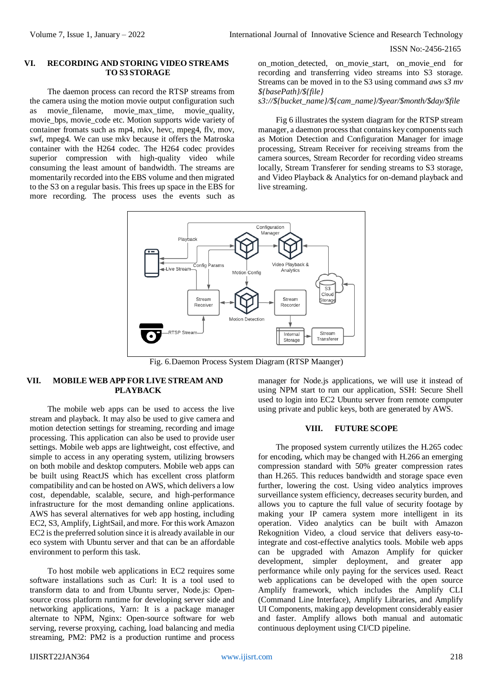ISSN No:-2456-2165

#### **VI. RECORDING AND STORING VIDEO STREAMS TO S3 STORAGE**

The daemon process can record the RTSP streams from the camera using the motion movie output configuration such as movie\_filename, movie\_max\_time, movie\_quality, movie\_bps, movie\_code etc. Motion supports wide variety of container fromats such as mp4, mkv, hevc, mpeg4, flv, mov, swf, mpeg4. We can use mkv because it offers the Matroska container with the H264 codec. The H264 codec provides superior compression with high-quality video while consuming the least amount of bandwidth. The streams are momentarily recorded into the EBS volume and then migrated to the S3 on a regular basis. This frees up space in the EBS for more recording. The process uses the events such as on\_motion\_detected, on\_movie\_start, on\_movie\_end for recording and transferring video streams into S3 storage. Streams can be moved in to the S3 using command *aws s3 mv \${basePath}/\${file}*

*s3://\${bucket\_name}/\${cam\_name}/\$year/\$month/\$day/\$file*

Fig 6 illustrates the system diagram for the RTSP stream manager, a daemon process that contains key components such as Motion Detection and Configuration Manager for image processing, Stream Receiver for receiving streams from the camera sources, Stream Recorder for recording video streams locally, Stream Transferer for sending streams to S3 storage, and Video Playback & Analytics for on-demand playback and live streaming.



Fig. 6.Daemon Process System Diagram (RTSP Maanger)

# **VII. MOBILE WEB APP FOR LIVE STREAM AND PLAYBACK**

The mobile web apps can be used to access the live stream and playback. It may also be used to give camera and motion detection settings for streaming, recording and image processing. This application can also be used to provide user settings. Mobile web apps are lightweight, cost effective, and simple to access in any operating system, utilizing browsers on both mobile and desktop computers. Mobile web apps can be built using ReactJS which has excellent cross platform compatibility and can be hosted on AWS, which delivers a low cost, dependable, scalable, secure, and high-performance infrastructure for the most demanding online applications. AWS has several alternatives for web app hosting, including EC2, S3, Amplify, LightSail, and more. For this work Amazon EC2 is the preferred solution since it is already available in our eco system with Ubuntu server and that can be an affordable environment to perform this task.

To host mobile web applications in EC2 requires some software installations such as Curl: It is a tool used to transform data to and from Ubuntu server, Node.js: Opensource cross platform runtime for developing server side and networking applications, Yarn: It is a package manager alternate to NPM, Nginx: Open-source software for web serving, reverse proxying, caching, load balancing and media streaming, PM2: PM2 is a production runtime and process

manager for Node.js applications, we will use it instead of using NPM start to run our application, SSH: Secure Shell used to login into EC2 Ubuntu server from remote computer using private and public keys, both are generated by AWS.

#### **VIII. FUTURE SCOPE**

The proposed system currently utilizes the H.265 codec for encoding, which may be changed with H.266 an emerging compression standard with 50% greater compression rates than H.265. This reduces bandwidth and storage space even further, lowering the cost. Using video analytics improves surveillance system efficiency, decreases security burden, and allows you to capture the full value of security footage by making your IP camera system more intelligent in its operation. Video analytics can be built with Amazon Rekognition Video, a cloud service that delivers easy-tointegrate and cost-effective analytics tools. Mobile web apps can be upgraded with Amazon Amplify for quicker development, simpler deployment, and greater app performance while only paying for the services used. React web applications can be developed with the open source Amplify framework, which includes the Amplify CLI (Command Line Interface), Amplify Libraries, and Amplify UI Components, making app development considerably easier and faster. Amplify allows both manual and automatic continuous deployment using CI/CD pipeline.